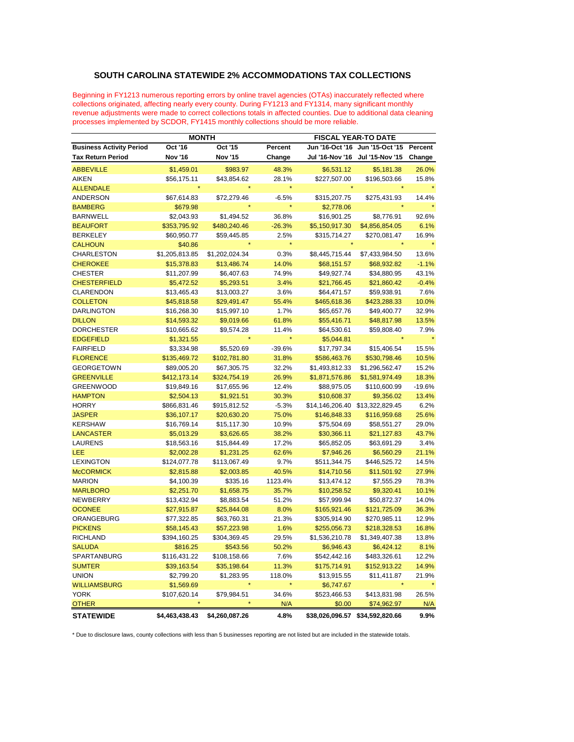## **SOUTH CAROLINA STATEWIDE 2% ACCOMMODATIONS TAX COLLECTIONS**

Beginning in FY1213 numerous reporting errors by online travel agencies (OTAs) inaccurately reflected where collections originated, affecting nearly every county. During FY1213 and FY1314, many significant monthly revenue adjustments were made to correct collections totals in affected counties. Due to additional data cleaning processes implemented by SCDOR, FY1415 monthly collections should be more reliable.

|                                 | <b>MONTH</b>   |                |          | <b>FISCAL YEAR-TO DATE</b> |                                 |          |
|---------------------------------|----------------|----------------|----------|----------------------------|---------------------------------|----------|
| <b>Business Activity Period</b> | Oct '16        | Oct '15        | Percent  | Jun '16-Oct '16            | Jun '15-Oct '15                 | Percent  |
| <b>Tax Return Period</b>        | <b>Nov '16</b> | <b>Nov '15</b> | Change   | Jul '16-Nov '16            | Jul '15-Nov '15                 | Change   |
| <b>ABBEVILLE</b>                | \$1,459.01     | \$983.97       | 48.3%    | \$6,531.12                 | \$5,181.38                      | 26.0%    |
| AIKEN                           | \$56,175.11    | \$43,854.62    | 28.1%    | \$227,507.00               | \$196,503.66                    | 15.8%    |
| <b>ALLENDALE</b>                |                |                |          |                            |                                 |          |
| <b>ANDERSON</b>                 | \$67,614.83    | \$72,279.46    | $-6.5%$  | \$315,207.75               | \$275,431.93                    | 14.4%    |
| <b>BAMBERG</b>                  | \$679.98       |                |          | \$2,778.06                 |                                 |          |
| <b>BARNWELL</b>                 | \$2,043.93     | \$1,494.52     | 36.8%    | \$16,901.25                | \$8,776.91                      | 92.6%    |
| <b>BEAUFORT</b>                 | \$353,795.92   | \$480,240.46   | $-26.3%$ | \$5,150,917.30             | \$4,856,854.05                  | 6.1%     |
| <b>BERKELEY</b>                 | \$60,950.77    | \$59,445.85    | 2.5%     | \$315,714.27               | \$270,081.47                    | 16.9%    |
| <b>CALHOUN</b>                  | \$40.86        |                |          |                            |                                 |          |
| CHARLESTON                      | \$1,205,813.85 | \$1,202,024.34 | 0.3%     | \$8,445,715.44             | \$7,433,984.50                  | 13.6%    |
| <b>CHEROKEE</b>                 | \$15,378.83    | \$13,486.74    | 14.0%    | \$68,151.57                | \$68,932.82                     | $-1.1%$  |
| <b>CHESTER</b>                  | \$11,207.99    | \$6,407.63     | 74.9%    | \$49,927.74                | \$34,880.95                     | 43.1%    |
| <b>CHESTERFIELD</b>             | \$5,472.52     | \$5,293.51     | 3.4%     | \$21,766.45                | \$21,860.42                     | $-0.4%$  |
| <b>CLARENDON</b>                | \$13,465.43    | \$13,003.27    | 3.6%     | \$64,471.57                | \$59,938.91                     | 7.6%     |
| <b>COLLETON</b>                 | \$45,818.58    | \$29,491.47    | 55.4%    | \$465,618.36               | \$423,288.33                    | 10.0%    |
| <b>DARLINGTON</b>               | \$16,268.30    | \$15,997.10    | 1.7%     | \$65,657.76                | \$49,400.77                     | 32.9%    |
| <b>DILLON</b>                   | \$14,593.32    | \$9,019.66     | 61.8%    | \$55,416.71                | \$48,817.98                     | 13.5%    |
| <b>DORCHESTER</b>               | \$10,665.62    | \$9,574.28     | 11.4%    | \$64,530.61                | \$59,808.40                     | 7.9%     |
| <b>EDGEFIELD</b>                | \$1,321.55     |                |          | \$5,044.81                 |                                 |          |
| <b>FAIRFIELD</b>                | \$3,334.98     | \$5,520.69     | $-39.6%$ | \$17,797.34                | \$15,406.54                     | 15.5%    |
| <b>FLORENCE</b>                 | \$135,469.72   | \$102,781.80   | 31.8%    | \$586,463.76               | \$530,798.46                    | 10.5%    |
| <b>GEORGETOWN</b>               | \$89,005.20    | \$67,305.75    | 32.2%    | \$1,493,812.33             | \$1,296,562.47                  | 15.2%    |
| <b>GREENVILLE</b>               | \$412,173.14   | \$324,754.19   | 26.9%    | \$1,871,576.86             | \$1,581,974.49                  | 18.3%    |
| <b>GREENWOOD</b>                | \$19,849.16    | \$17,655.96    | 12.4%    | \$88,975.05                | \$110,600.99                    | $-19.6%$ |
| <b>HAMPTON</b>                  | \$2,504.13     | \$1,921.51     | 30.3%    | \$10,608.37                | \$9,356.02                      | 13.4%    |
| <b>HORRY</b>                    | \$866,831.46   | \$915,812.52   | $-5.3%$  |                            | \$14,146,206.40 \$13,322,829.45 | 6.2%     |
| <b>JASPER</b>                   | \$36,107.17    | \$20,630.20    | 75.0%    | \$146,848.33               | \$116,959.68                    | 25.6%    |
| <b>KERSHAW</b>                  | \$16,769.14    | \$15,117.30    | 10.9%    | \$75,504.69                | \$58,551.27                     | 29.0%    |
| <b>LANCASTER</b>                | \$5,013.29     | \$3,626.65     | 38.2%    | \$30,366.11                | \$21,127.83                     | 43.7%    |
| <b>LAURENS</b>                  | \$18,563.16    | \$15,844.49    | 17.2%    | \$65,852.05                | \$63,691.29                     | 3.4%     |
| LEE                             | \$2,002.28     | \$1,231.25     | 62.6%    | \$7,946.26                 | \$6,560.29                      | 21.1%    |
| <b>LEXINGTON</b>                | \$124,077.78   | \$113,067.49   | 9.7%     | \$511,344.75               | \$446,525.72                    | 14.5%    |
| <b>McCORMICK</b>                | \$2,815.88     | \$2,003.85     | 40.5%    | \$14,710.56                | \$11,501.92                     | 27.9%    |
| <b>MARION</b>                   | \$4,100.39     | \$335.16       | 1123.4%  | \$13,474.12                | \$7,555.29                      | 78.3%    |
| <b>MARLBORO</b>                 | \$2,251.70     | \$1,658.75     | 35.7%    | \$10,258.52                | \$9,320.41                      | 10.1%    |
| <b>NEWBERRY</b>                 | \$13,432.94    | \$8,883.54     | 51.2%    | \$57,999.94                | \$50,872.37                     | 14.0%    |
| <b>OCONEE</b>                   | \$27,915.87    | \$25,844.08    | 8.0%     | \$165,921.46               | \$121,725.09                    | 36.3%    |
| ORANGEBURG                      | \$77,322.85    | \$63,760.31    | 21.3%    | \$305,914.90               | \$270,985.11                    | 12.9%    |
| <b>PICKENS</b>                  | \$58,145.43    | \$57,223.98    | 1.6%     | \$255,056.73               | \$218,328.53                    | 16.8%    |
| <b>RICHLAND</b>                 | \$394,160.25   | \$304,369.45   | 29.5%    | \$1,536,210.78             | \$1,349,407.38                  | 13.8%    |
| <b>SALUDA</b>                   | \$816.25       | \$543.56       | 50.2%    | \$6,946.43                 | \$6,424.12                      | 8.1%     |
| SPARTANBURG                     | \$116,431.22   | \$108,158.66   | 7.6%     | \$542,442.16               | \$483,326.61                    | 12.2%    |
| <b>SUMTER</b>                   | \$39,163.54    | \$35,198.64    | 11.3%    | \$175,714.91               | \$152,913.22                    | 14.9%    |
| <b>UNION</b>                    | \$2,799.20     | \$1,283.95     | 118.0%   | \$13,915.55                | \$11,411.87                     | 21.9%    |
| <b>WILLIAMSBURG</b>             | \$1,569.69     |                |          | \$6,747.67                 |                                 |          |
| <b>YORK</b>                     | \$107,620.14   | \$79,984.51    | 34.6%    | \$523,466.53               | \$413,831.98                    | 26.5%    |
| <b>OTHER</b>                    |                |                | N/A      | \$0.00                     | \$74,962.97                     | N/A      |
| <b>STATEWIDE</b>                | \$4,463,438.43 | \$4,260,087.26 | 4.8%     | \$38,026,096.57            | \$34,592,820.66                 | 9.9%     |

\* Due to disclosure laws, county collections with less than 5 businesses reporting are not listed but are included in the statewide totals.